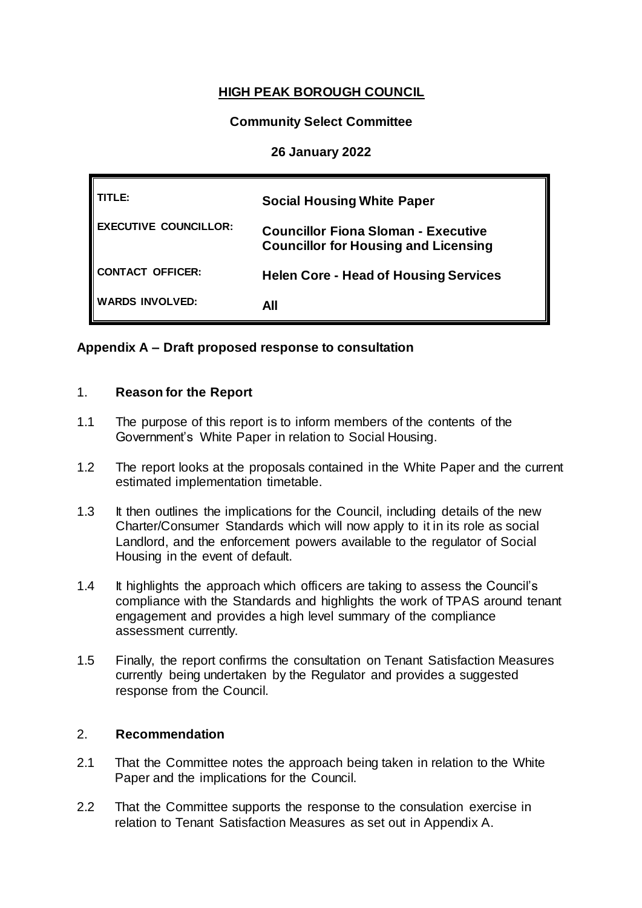# **HIGH PEAK BOROUGH COUNCIL**

# **Community Select Committee**

## **26 January 2022**

| TLE:                         | <b>Social Housing White Paper</b>                                                         |
|------------------------------|-------------------------------------------------------------------------------------------|
| <b>EXECUTIVE COUNCILLOR:</b> | <b>Councillor Fiona Sloman - Executive</b><br><b>Councillor for Housing and Licensing</b> |
| CONTACT OFFICER:             | <b>Helen Core - Head of Housing Services</b>                                              |
| <b>WARDS INVOLVED:</b>       | All                                                                                       |

## **Appendix A – Draft proposed response to consultation**

## 1. **Reason for the Report**

- 1.1 The purpose of this report is to inform members of the contents of the Government's White Paper in relation to Social Housing.
- 1.2 The report looks at the proposals contained in the White Paper and the current estimated implementation timetable.
- 1.3 It then outlines the implications for the Council, including details of the new Charter/Consumer Standards which will now apply to it in its role as social Landlord, and the enforcement powers available to the regulator of Social Housing in the event of default.
- 1.4 It highlights the approach which officers are taking to assess the Council's compliance with the Standards and highlights the work of TPAS around tenant engagement and provides a high level summary of the compliance assessment currently.
- 1.5 Finally, the report confirms the consultation on Tenant Satisfaction Measures currently being undertaken by the Regulator and provides a suggested response from the Council.

#### 2. **Recommendation**

- 2.1 That the Committee notes the approach being taken in relation to the White Paper and the implications for the Council.
- 2.2 That the Committee supports the response to the consulation exercise in relation to Tenant Satisfaction Measures as set out in Appendix A.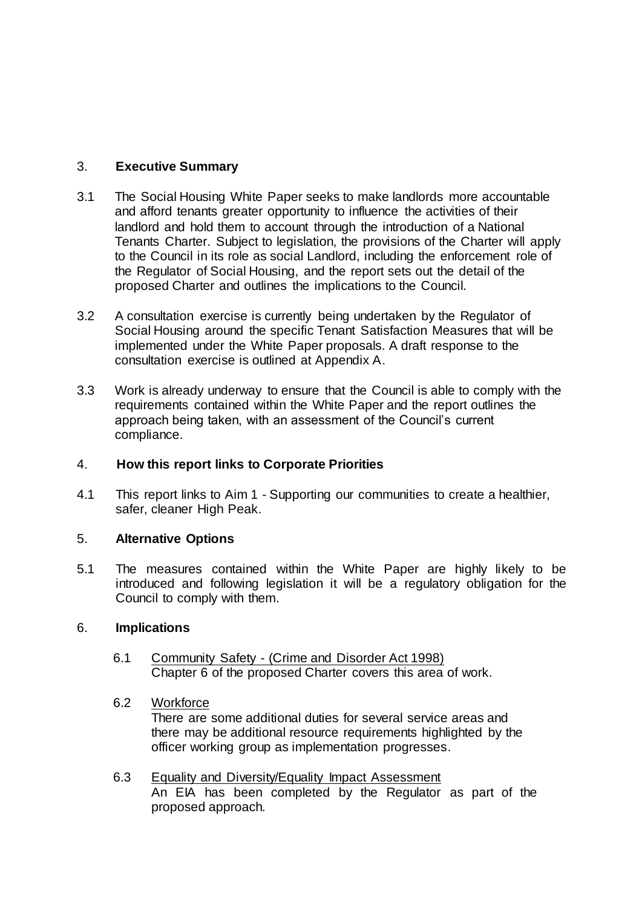# 3. **Executive Summary**

- 3.1 The Social Housing White Paper seeks to make landlords more accountable and afford tenants greater opportunity to influence the activities of their landlord and hold them to account through the introduction of a National Tenants Charter. Subject to legislation, the provisions of the Charter will apply to the Council in its role as social Landlord, including the enforcement role of the Regulator of Social Housing, and the report sets out the detail of the proposed Charter and outlines the implications to the Council.
- 3.2 A consultation exercise is currently being undertaken by the Regulator of Social Housing around the specific Tenant Satisfaction Measures that will be implemented under the White Paper proposals. A draft response to the consultation exercise is outlined at Appendix A.
- 3.3 Work is already underway to ensure that the Council is able to comply with the requirements contained within the White Paper and the report outlines the approach being taken, with an assessment of the Council's current compliance.

# 4. **How this report links to Corporate Priorities**

4.1 This report links to Aim 1 - Supporting our communities to create a healthier, safer, cleaner High Peak.

## 5. **Alternative Options**

5.1 The measures contained within the White Paper are highly likely to be introduced and following legislation it will be a regulatory obligation for the Council to comply with them.

## 6. **Implications**

6.1 Community Safety - (Crime and Disorder Act 1998) Chapter 6 of the proposed Charter covers this area of work.

## 6.2 Workforce

There are some additional duties for several service areas and there may be additional resource requirements highlighted by the officer working group as implementation progresses.

6.3 Equality and Diversity/Equality Impact Assessment An EIA has been completed by the Regulator as part of the proposed approach.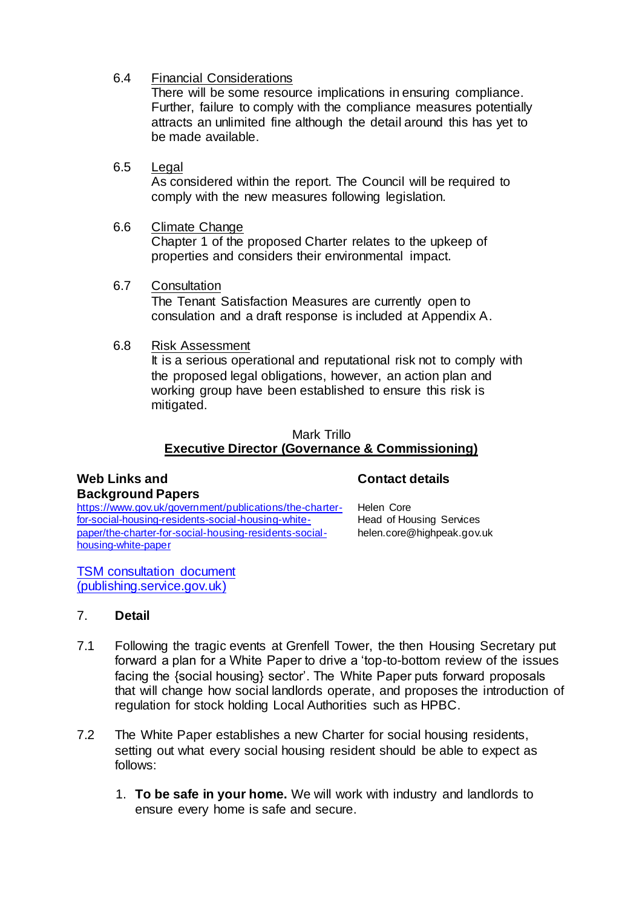## 6.4 Financial Considerations

There will be some resource implications in ensuring compliance. Further, failure to comply with the compliance measures potentially attracts an unlimited fine although the detail around this has yet to be made available.

6.5 Legal

As considered within the report. The Council will be required to comply with the new measures following legislation.

6.6 Climate Change

Chapter 1 of the proposed Charter relates to the upkeep of properties and considers their environmental impact.

- 6.7 Consultation The Tenant Satisfaction Measures are currently open to consulation and a draft response is included at Appendix A.
- 6.8 Risk Assessment

It is a serious operational and reputational risk not to comply with the proposed legal obligations, however, an action plan and working group have been established to ensure this risk is mitigated.

#### Mark Trillo **Executive Director (Governance & Commissioning)**

#### **Web Links and Background Papers**

## **Contact details**

[https://www.gov.uk/government/publications/the-charter](https://www.gov.uk/government/publications/the-charter-for-social-housing-residents-social-housing-white-paper/the-charter-for-social-housing-residents-social-housing-white-paper)[for-social-housing-residents-social-housing-white](https://www.gov.uk/government/publications/the-charter-for-social-housing-residents-social-housing-white-paper/the-charter-for-social-housing-residents-social-housing-white-paper)[paper/the-charter-for-social-housing-residents-social](https://www.gov.uk/government/publications/the-charter-for-social-housing-residents-social-housing-white-paper/the-charter-for-social-housing-residents-social-housing-white-paper)[housing-white-paper](https://www.gov.uk/government/publications/the-charter-for-social-housing-residents-social-housing-white-paper/the-charter-for-social-housing-residents-social-housing-white-paper)

Helen Core Head of Housing Services helen.core@highpeak.gov.uk

[TSM consultation document](https://assets.publishing.service.gov.uk/government/uploads/system/uploads/attachment_data/file/1040336/Consultation_document_Introduction_of_Tenant_Satisfaction_Measures_Dec_2021.pdf)  [\(publishing.service.gov.uk\)](https://assets.publishing.service.gov.uk/government/uploads/system/uploads/attachment_data/file/1040336/Consultation_document_Introduction_of_Tenant_Satisfaction_Measures_Dec_2021.pdf)

## 7. **Detail**

- 7.1 Following the tragic events at Grenfell Tower, the then Housing Secretary put forward a plan for a White Paper to drive a 'top-to-bottom review of the issues facing the {social housing} sector'. The White Paper puts forward proposals that will change how social landlords operate, and proposes the introduction of regulation for stock holding Local Authorities such as HPBC.
- 7.2 The White Paper establishes a new Charter for social housing residents, setting out what every social housing resident should be able to expect as follows:
	- 1. **To be safe in your home.** We will work with industry and landlords to ensure every home is safe and secure.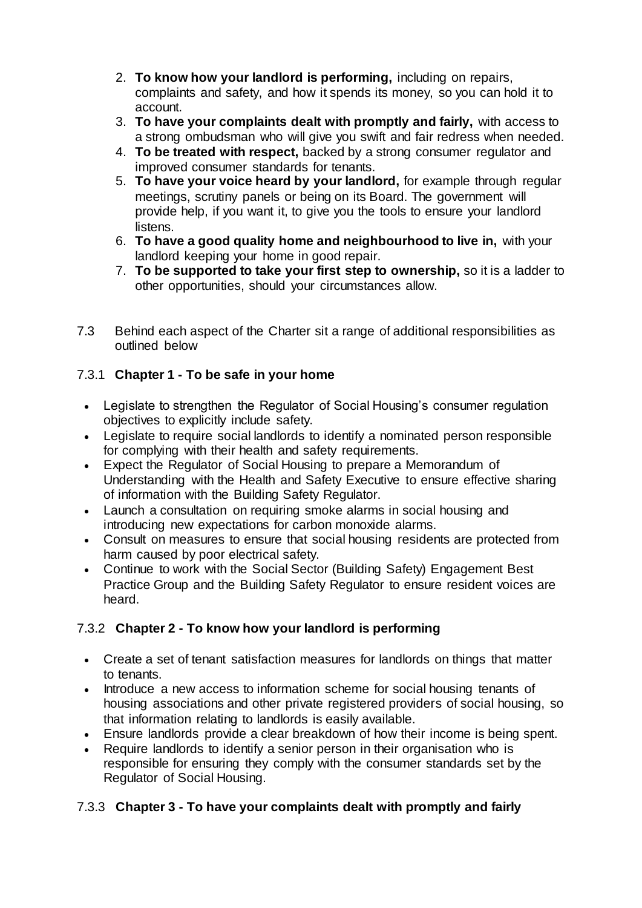- 2. **To know how your landlord is performing,** including on repairs, complaints and safety, and how it spends its money, so you can hold it to account.
- 3. **To have your complaints dealt with promptly and fairly,** with access to a strong ombudsman who will give you swift and fair redress when needed.
- 4. **To be treated with respect,** backed by a strong consumer regulator and improved consumer standards for tenants.
- 5. **To have your voice heard by your landlord,** for example through regular meetings, scrutiny panels or being on its Board. The government will provide help, if you want it, to give you the tools to ensure your landlord listens.
- 6. **To have a good quality home and neighbourhood to live in,** with your landlord keeping your home in good repair.
- 7. **To be supported to take your first step to ownership,** so it is a ladder to other opportunities, should your circumstances allow.
- 7.3 Behind each aspect of the Charter sit a range of additional responsibilities as outlined below

# 7.3.1 **Chapter 1 - To be safe in your home**

- Legislate to strengthen the Regulator of Social Housing's consumer regulation objectives to explicitly include safety.
- Legislate to require social landlords to identify a nominated person responsible for complying with their health and safety requirements.
- Expect the Regulator of Social Housing to prepare a Memorandum of Understanding with the Health and Safety Executive to ensure effective sharing of information with the Building Safety Regulator.
- Launch a consultation on requiring smoke alarms in social housing and introducing new expectations for carbon monoxide alarms.
- Consult on measures to ensure that social housing residents are protected from harm caused by poor electrical safety.
- Continue to work with the Social Sector (Building Safety) Engagement Best Practice Group and the Building Safety Regulator to ensure resident voices are heard.

# 7.3.2 **Chapter 2 - To know how your landlord is performing**

- Create a set of tenant satisfaction measures for landlords on things that matter to tenants.
- Introduce a new access to information scheme for social housing tenants of housing associations and other private registered providers of social housing, so that information relating to landlords is easily available.
- Ensure landlords provide a clear breakdown of how their income is being spent.
- Require landlords to identify a senior person in their organisation who is responsible for ensuring they comply with the consumer standards set by the Regulator of Social Housing.

# 7.3.3 **Chapter 3 - To have your complaints dealt with promptly and fairly**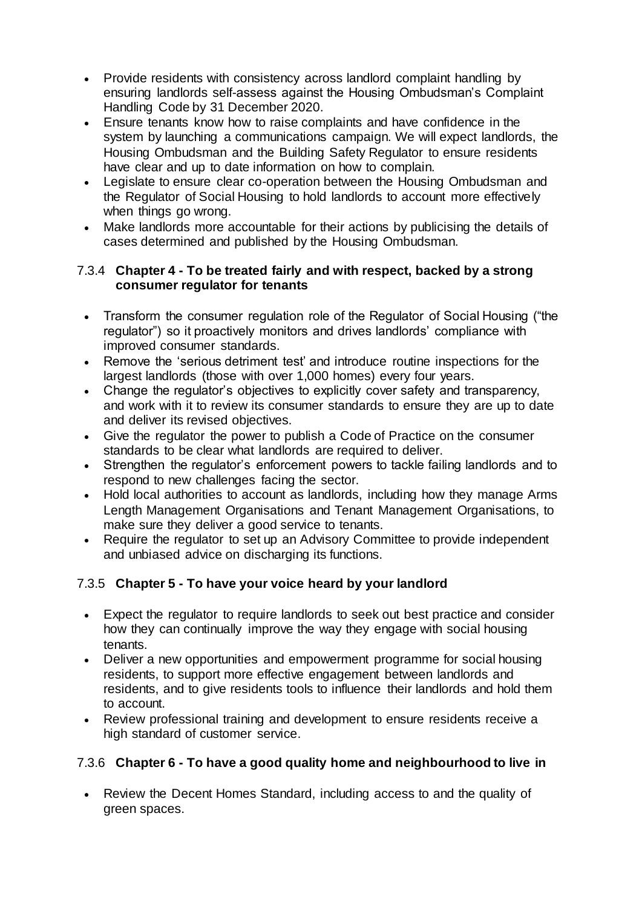- Provide residents with consistency across landlord complaint handling by ensuring landlords self-assess against the Housing Ombudsman's Complaint Handling Code by 31 December 2020.
- Ensure tenants know how to raise complaints and have confidence in the system by launching a communications campaign. We will expect landlords, the Housing Ombudsman and the Building Safety Regulator to ensure residents have clear and up to date information on how to complain.
- Legislate to ensure clear co-operation between the Housing Ombudsman and the Regulator of Social Housing to hold landlords to account more effectively when things go wrong.
- Make landlords more accountable for their actions by publicising the details of cases determined and published by the Housing Ombudsman.

## 7.3.4 **Chapter 4 - To be treated fairly and with respect, backed by a strong consumer regulator for tenants**

- Transform the consumer regulation role of the Regulator of Social Housing ("the regulator") so it proactively monitors and drives landlords' compliance with improved consumer standards.
- Remove the 'serious detriment test' and introduce routine inspections for the largest landlords (those with over 1,000 homes) every four years.
- Change the regulator's objectives to explicitly cover safety and transparency, and work with it to review its consumer standards to ensure they are up to date and deliver its revised objectives.
- Give the regulator the power to publish a Code of Practice on the consumer standards to be clear what landlords are required to deliver.
- Strengthen the regulator's enforcement powers to tackle failing landlords and to respond to new challenges facing the sector.
- Hold local authorities to account as landlords, including how they manage Arms Length Management Organisations and Tenant Management Organisations, to make sure they deliver a good service to tenants.
- Require the regulator to set up an Advisory Committee to provide independent and unbiased advice on discharging its functions.

# 7.3.5 **Chapter 5 - To have your voice heard by your landlord**

- Expect the regulator to require landlords to seek out best practice and consider how they can continually improve the way they engage with social housing tenants.
- Deliver a new opportunities and empowerment programme for social housing residents, to support more effective engagement between landlords and residents, and to give residents tools to influence their landlords and hold them to account.
- Review professional training and development to ensure residents receive a high standard of customer service.

# 7.3.6 **Chapter 6 - To have a good quality home and neighbourhood to live in**

• Review the Decent Homes Standard, including access to and the quality of green spaces.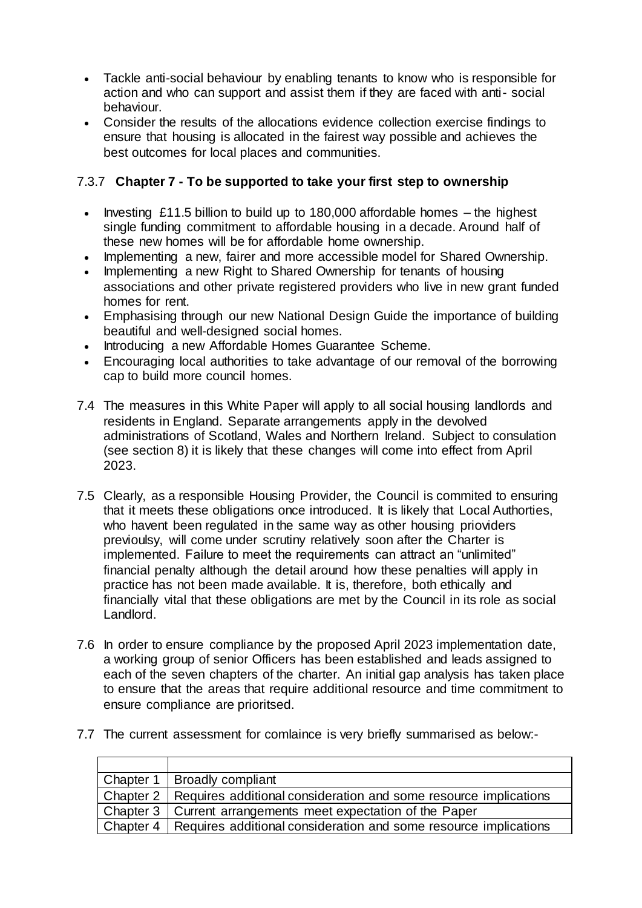- Tackle anti-social behaviour by enabling tenants to know who is responsible for action and who can support and assist them if they are faced with anti- social behaviour.
- Consider the results of the allocations evidence collection exercise findings to ensure that housing is allocated in the fairest way possible and achieves the best outcomes for local places and communities.

# 7.3.7 **Chapter 7 - To be supported to take your first step to ownership**

- Investing £11.5 billion to build up to 180,000 affordable homes the highest single funding commitment to affordable housing in a decade. Around half of these new homes will be for affordable home ownership.
- Implementing a new, fairer and more accessible model for Shared Ownership.
- Implementing a new Right to Shared Ownership for tenants of housing associations and other private registered providers who live in new grant funded homes for rent.
- Emphasising through our new National Design Guide the importance of building beautiful and well-designed social homes.
- Introducing a new Affordable Homes Guarantee Scheme.
- Encouraging local authorities to take advantage of our removal of the borrowing cap to build more council homes.
- 7.4 The measures in this White Paper will apply to all social housing landlords and residents in England. Separate arrangements apply in the devolved administrations of Scotland, Wales and Northern Ireland. Subject to consulation (see section 8) it is likely that these changes will come into effect from April 2023.
- 7.5 Clearly, as a responsible Housing Provider, the Council is commited to ensuring that it meets these obligations once introduced. It is likely that Local Authorties, who havent been regulated in the same way as other housing prioviders previoulsy, will come under scrutiny relatively soon after the Charter is implemented. Failure to meet the requirements can attract an "unlimited" financial penalty although the detail around how these penalties will apply in practice has not been made available. It is, therefore, both ethically and financially vital that these obligations are met by the Council in its role as social Landlord.
- 7.6 In order to ensure compliance by the proposed April 2023 implementation date, a working group of senior Officers has been established and leads assigned to each of the seven chapters of the charter. An initial gap analysis has taken place to ensure that the areas that require additional resource and time commitment to ensure compliance are prioritsed.
- 7.7 The current assessment for comlaince is very briefly summarised as below:-

| Chapter 1   Broadly compliant                                                |
|------------------------------------------------------------------------------|
| Chapter 2   Requires additional consideration and some resource implications |
| Chapter 3   Current arrangements meet expectation of the Paper               |
| Chapter 4   Requires additional consideration and some resource implications |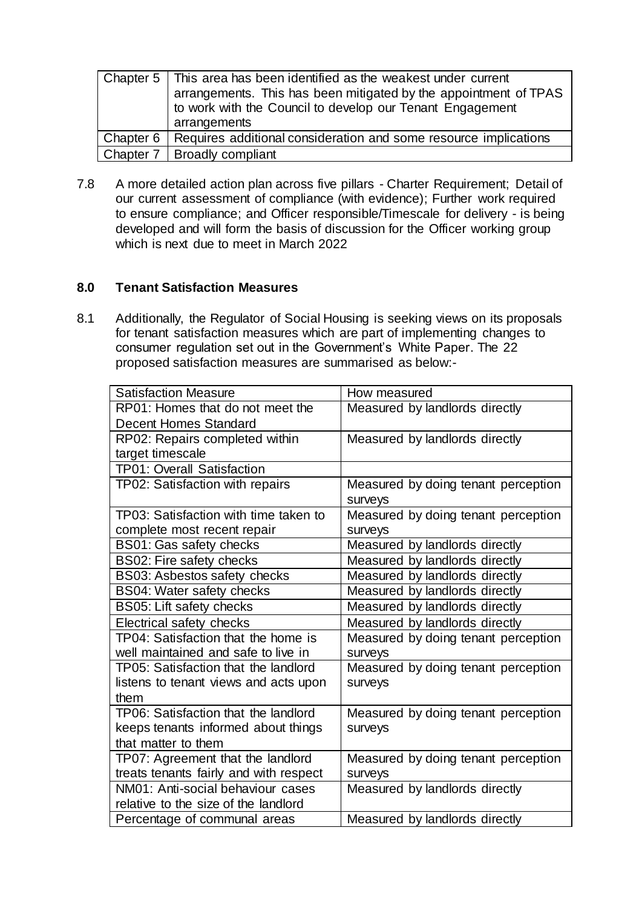| Chapter 5   This area has been identified as the weakest under current<br>arrangements. This has been mitigated by the appointment of TPAS<br>to work with the Council to develop our Tenant Engagement<br>arrangements |
|-------------------------------------------------------------------------------------------------------------------------------------------------------------------------------------------------------------------------|
| Chapter 6   Requires additional consideration and some resource implications                                                                                                                                            |
| Chapter 7   Broadly compliant                                                                                                                                                                                           |

7.8 A more detailed action plan across five pillars - Charter Requirement; Detail of our current assessment of compliance (with evidence); Further work required to ensure compliance; and Officer responsible/Timescale for delivery - is being developed and will form the basis of discussion for the Officer working group which is next due to meet in March 2022

## **8.0 Tenant Satisfaction Measures**

8.1 Additionally, the Regulator of Social Housing is seeking views on its proposals for tenant satisfaction measures which are part of implementing changes to consumer regulation set out in the Government's White Paper. The 22 proposed satisfaction measures are summarised as below:-

| <b>Satisfaction Measure</b>            | How measured                        |
|----------------------------------------|-------------------------------------|
| RP01: Homes that do not meet the       | Measured by landlords directly      |
| <b>Decent Homes Standard</b>           |                                     |
| RP02: Repairs completed within         | Measured by landlords directly      |
| target timescale                       |                                     |
| <b>TP01: Overall Satisfaction</b>      |                                     |
| TP02: Satisfaction with repairs        | Measured by doing tenant perception |
|                                        | surveys                             |
| TP03: Satisfaction with time taken to  | Measured by doing tenant perception |
| complete most recent repair            | surveys                             |
| BS01: Gas safety checks                | Measured by landlords directly      |
| BS02: Fire safety checks               | Measured by landlords directly      |
| BS03: Asbestos safety checks           | Measured by landlords directly      |
| <b>BS04: Water safety checks</b>       | Measured by landlords directly      |
| <b>BS05: Lift safety checks</b>        | Measured by landlords directly      |
| Electrical safety checks               | Measured by landlords directly      |
| TP04: Satisfaction that the home is    | Measured by doing tenant perception |
| well maintained and safe to live in    | surveys                             |
| TP05: Satisfaction that the landlord   | Measured by doing tenant perception |
| listens to tenant views and acts upon  | surveys                             |
| them                                   |                                     |
| TP06: Satisfaction that the landlord   | Measured by doing tenant perception |
| keeps tenants informed about things    | surveys                             |
| that matter to them                    |                                     |
| TP07: Agreement that the landlord      | Measured by doing tenant perception |
| treats tenants fairly and with respect | surveys                             |
| NM01: Anti-social behaviour cases      | Measured by landlords directly      |
| relative to the size of the landlord   |                                     |
| Percentage of communal areas           | Measured by landlords directly      |